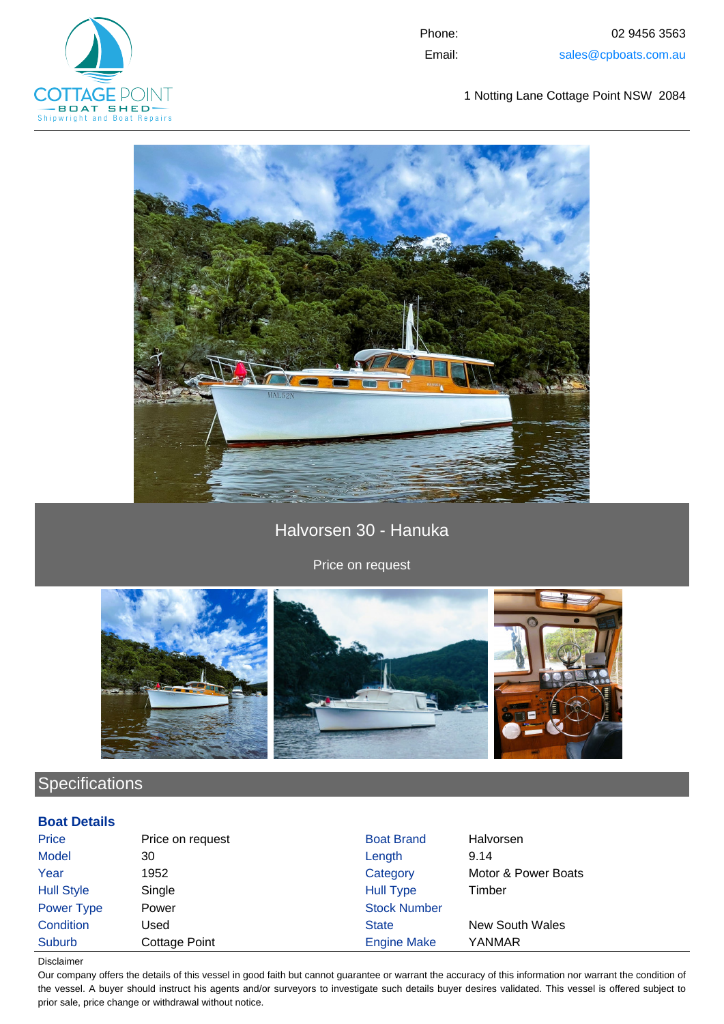

Phone: 02 9456 3563 Email: sales@cpboats.com.au

1 Notting Lane Cottage Point NSW 2084



Halvorsen 30 - Hanuka

Price on request



## **Specifications**

## **Boat Details**

| Price             | Price on request     | <b>Boat Brand</b>   | Halvorsen              |
|-------------------|----------------------|---------------------|------------------------|
| <b>Model</b>      | 30                   | Length              | 9.14                   |
| Year              | 1952                 | Category            | Motor & Power Boats    |
| <b>Hull Style</b> | Single               | <b>Hull Type</b>    | Timber                 |
| Power Type        | Power                | <b>Stock Number</b> |                        |
| Condition         | Used                 | <b>State</b>        | <b>New South Wales</b> |
| Suburb            | <b>Cottage Point</b> | <b>Engine Make</b>  | YANMAR                 |

Disclaimer

Our company offers the details of this vessel in good faith but cannot guarantee or warrant the accuracy of this information nor warrant the condition of the vessel. A buyer should instruct his agents and/or surveyors to investigate such details buyer desires validated. This vessel is offered subject to prior sale, price change or withdrawal without notice.